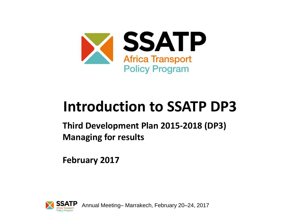

# **Introduction to SSATP DP3**

**Third Development Plan 2015-2018 (DP3) Managing for results**

**February 2017**

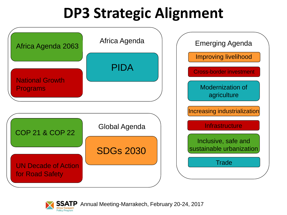# **DP3 Strategic Alignment**



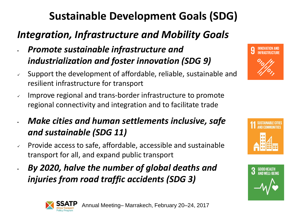## **Sustainable Development Goals (SDG)**

### *Integration, Infrastructure and Mobility Goals*

- *Promote sustainable infrastructure and industrialization and foster innovation (SDG 9)*
- Support the development of affordable, reliable, sustainable and resilient infrastructure for transport
- $\sim$  Improve regional and trans-border infrastructure to promote regional connectivity and integration and to facilitate trade
- *Make cities and human settlements inclusive, safe and sustainable (SDG 11)*
- $\sim$  Provide access to safe, affordable, accessible and sustainable transport for all, and expand public transport
- *By 2020, halve the number of global deaths and injuries from road traffic accidents (SDG 3)*







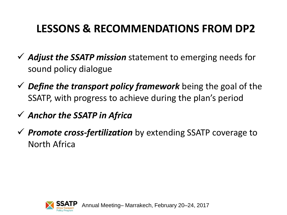### **LESSONS & RECOMMENDATIONS FROM DP2**

- *Adjust the SSATP mission* statement to emerging needs for sound policy dialogue
- *Define the transport policy framework* being the goal of the SSATP, with progress to achieve during the plan's period
- *Anchor the SSATP in Africa*
- *Promote cross-fertilization* by extending SSATP coverage to North Africa

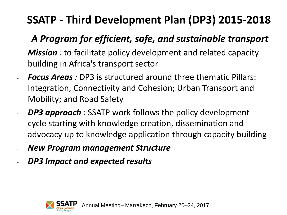## **SSATP - Third Development Plan (DP3) 2015-2018**

### *A Program for efficient, safe, and sustainable transport*

- *Mission :* to facilitate policy development and related capacity building in Africa's transport sector
- *Focus Areas :* DP3 is structured around three thematic Pillars: Integration, Connectivity and Cohesion; Urban Transport and Mobility; and Road Safety
- *DP3 approach :* SSATP work follows the policy development cycle starting with knowledge creation, dissemination and advocacy up to knowledge application through capacity building
- *New Program management Structure*
- *DP3 Impact and expected results*

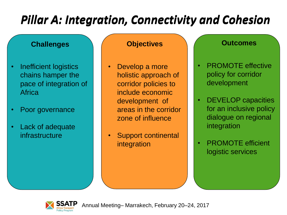## *Pillar A: Integration, Connectivity and Cohesion Pillar A: Integration, Connectivity and Cohesion*

### **Challenges Objectives Outcomes**

- Inefficient logistics chains hamper the pace of integration of **Africa**
- Poor governance
- Lack of adequate infrastructure

- Develop a more holistic approach of corridor policies to include economic development of areas in the corridor zone of influence
- Support continental integration

- **PROMOTE** effective policy for corridor development
- DEVELOP capacities for an inclusive policy dialogue on regional integration
- PROMOTE efficient logistic services

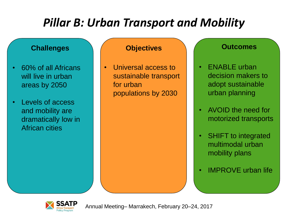## *Pillar B: Urban Transport and Mobility*

### **Challenges Objectives Outcomes**

- 60% of all Africans will live in urban areas by 2050
- Levels of access and mobility are dramatically low in African cities

• Universal access to sustainable transport for urban populations by 2030

- **ENABLE** urban decision makers to adopt sustainable urban planning
- AVOID the need for motorized transports
- **SHIFT to integrated** multimodal urban mobility plans
- IMPROVE urban life

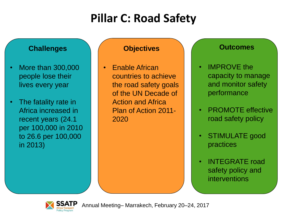## **Pillar C: Road Safety**

### **Challenges Objectives Outcomes**

- More than 300,000 people lose their lives every year
- The fatality rate in Africa increased in recent years (24.1 per 100,000 in 2010 to 26.6 per 100,000 in 2013)

• Enable African countries to achieve the road safety goals of the UN Decade of Action and Africa Plan of Action 2011- 2020

- **IMPROVE** the capacity to manage and monitor safety performance
- PROMOTE effective road safety policy
- STIMULATE good practices
- INTEGRATE road safety policy and interventions

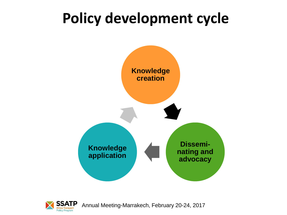# **Policy development cycle**



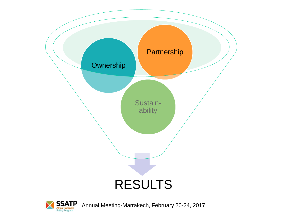

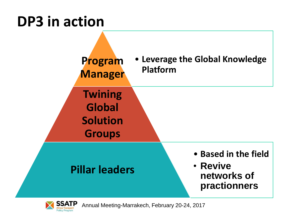# **DP3 in action**



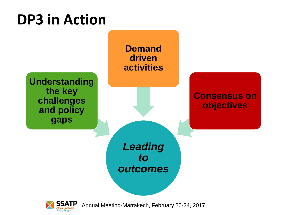# **DP3 in Action**



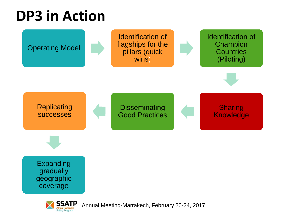# **DP3 in Action**

**Policy Program** 

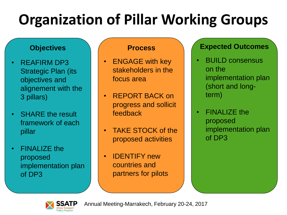# **Organization of Pillar Working Groups**

- REAFIRM DP3 Strategic Plan (its objectives and alignement with the 3 pillars)
- **SHARE** the result framework of each pillar
- **FINALIZE the** proposed implementation plan of DP3

- ENGAGE with key stakeholders in the focus area
- REPORT BACK on progress and sollicit feedback
- TAKE STOCK of the proposed activities
- IDENTIFY new countries and partners for pilots

### **Objectives Process Expected Outcomes**

- BUILD consensus on the implementation plan (short and longterm)
- FINALIZE the proposed implementation plan of DP3